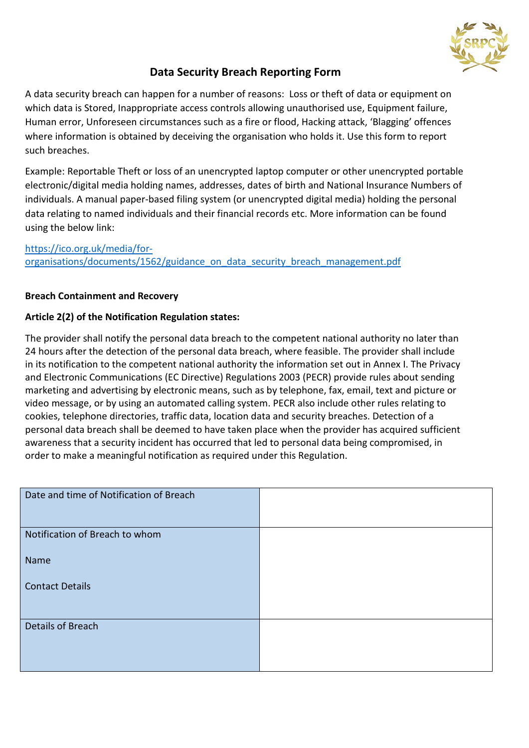

## **Data Security Breach Reporting Form**

A data security breach can happen for a number of reasons: Loss or theft of data or equipment on which data is Stored, Inappropriate access controls allowing unauthorised use, Equipment failure, Human error, Unforeseen circumstances such as a fire or flood, Hacking attack, 'Blagging' offences where information is obtained by deceiving the organisation who holds it. Use this form to report such breaches.

Example: Reportable Theft or loss of an unencrypted laptop computer or other unencrypted portable electronic/digital media holding names, addresses, dates of birth and National Insurance Numbers of individuals. A manual paper-based filing system (or unencrypted digital media) holding the personal data relating to named individuals and their financial records etc. More information can be found using the below link:

[https://ico.org.uk/media/for](https://ico.org.uk/media/for-organisations/documents/1562/guidance_on_data_security_breach_management.pdf)[organisations/documents/1562/guidance\\_on\\_data\\_security\\_breach\\_management.pdf](https://ico.org.uk/media/for-organisations/documents/1562/guidance_on_data_security_breach_management.pdf)

## **Breach Containment and Recovery**

## **Article 2(2) of the Notification Regulation states:**

The provider shall notify the personal data breach to the competent national authority no later than 24 hours after the detection of the personal data breach, where feasible. The provider shall include in its notification to the competent national authority the information set out in Annex I. The Privacy and Electronic Communications (EC Directive) Regulations 2003 (PECR) provide rules about sending marketing and advertising by electronic means, such as by telephone, fax, email, text and picture or video message, or by using an automated calling system. PECR also include other rules relating to cookies, telephone directories, traffic data, location data and security breaches. Detection of a personal data breach shall be deemed to have taken place when the provider has acquired sufficient awareness that a security incident has occurred that led to personal data being compromised, in order to make a meaningful notification as required under this Regulation.

| Date and time of Notification of Breach |  |
|-----------------------------------------|--|
| Notification of Breach to whom          |  |
| Name                                    |  |
| <b>Contact Details</b>                  |  |
|                                         |  |
| Details of Breach                       |  |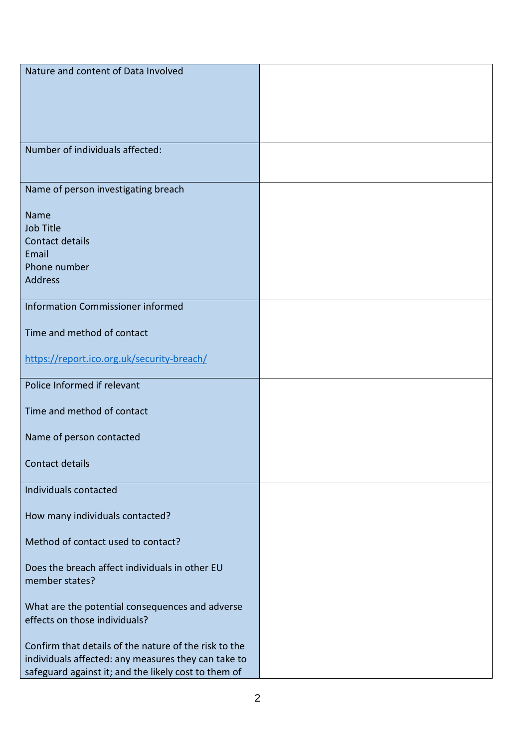| Nature and content of Data Involved                                              |  |
|----------------------------------------------------------------------------------|--|
|                                                                                  |  |
|                                                                                  |  |
|                                                                                  |  |
|                                                                                  |  |
|                                                                                  |  |
| Number of individuals affected:                                                  |  |
|                                                                                  |  |
|                                                                                  |  |
| Name of person investigating breach                                              |  |
|                                                                                  |  |
| <b>Name</b>                                                                      |  |
| <b>Job Title</b>                                                                 |  |
| Contact details                                                                  |  |
| Email                                                                            |  |
| Phone number                                                                     |  |
| Address                                                                          |  |
|                                                                                  |  |
| Information Commissioner informed                                                |  |
|                                                                                  |  |
| Time and method of contact                                                       |  |
|                                                                                  |  |
| https://report.ico.org.uk/security-breach/                                       |  |
|                                                                                  |  |
| Police Informed if relevant                                                      |  |
|                                                                                  |  |
| Time and method of contact                                                       |  |
|                                                                                  |  |
| Name of person contacted                                                         |  |
|                                                                                  |  |
| <b>Contact details</b>                                                           |  |
|                                                                                  |  |
| Individuals contacted                                                            |  |
|                                                                                  |  |
| How many individuals contacted?                                                  |  |
|                                                                                  |  |
| Method of contact used to contact?                                               |  |
|                                                                                  |  |
| Does the breach affect individuals in other EU                                   |  |
| member states?                                                                   |  |
|                                                                                  |  |
| What are the potential consequences and adverse<br>effects on those individuals? |  |
|                                                                                  |  |
|                                                                                  |  |
| Confirm that details of the nature of the risk to the                            |  |
| individuals affected: any measures they can take to                              |  |
| safeguard against it; and the likely cost to them of                             |  |